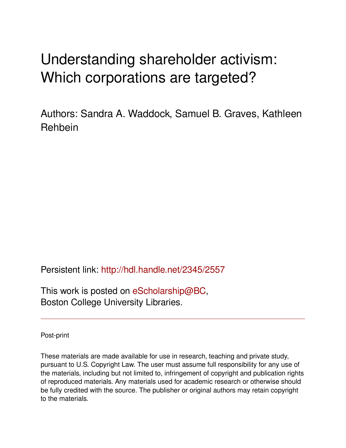# Understanding shareholder activism: Which corporations are targeted?

Authors: Sandra A. Waddock, Samuel B. Graves, Kathleen Rehbein

Persistent link: <http://hdl.handle.net/2345/2557>

This work is posted on [eScholarship@BC](http://escholarship.bc.edu), Boston College University Libraries.

Post-print

These materials are made available for use in research, teaching and private study, pursuant to U.S. Copyright Law. The user must assume full responsibility for any use of the materials, including but not limited to, infringement of copyright and publication rights of reproduced materials. Any materials used for academic research or otherwise should be fully credited with the source. The publisher or original authors may retain copyright to the materials.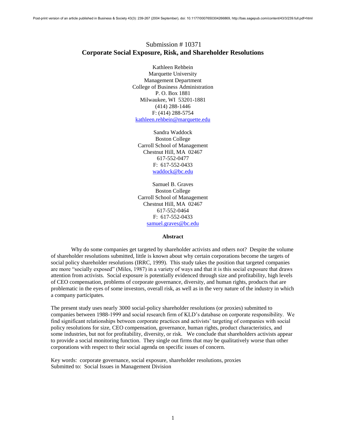## Submission # 10371 **Corporate Social Exposure, Risk, and Shareholder Resolutions**

Kathleen Rehbein Marquette University Management Department College of Business Administration P. O. Box 1881 Milwaukee, WI 53201-1881 (414) 288-1446 F: (414) 288-5754 [kathleen.rehbein@marquette.edu](mailto:kathleen.rehbein@marquette.edu) 

Sandra Waddock Boston College Carroll School of Management Chestnut Hill, MA 02467 617-552-0477 F: 617-552-0433 [waddock@bc.edu](mailto:waddock@bc.edu)

Samuel B. Graves Boston College Carroll School of Management Chestnut Hill, MA 02467 617-552-0464 F: 617-552-0433 [samuel.graves@bc.edu](mailto:samuel.graves@bc.edu)

#### **Abstract**

Why do some companies get targeted by shareholder activists and others not? Despite the volume of shareholder resolutions submitted, little is known about why certain corporations become the targets of social policy shareholder resolutions (IRRC, 1999). This study takes the position that targeted companies are more "socially exposed" (Miles, 1987) in a variety of ways and that it is this social exposure that draws attention from activists. Social exposure is potentially evidenced through size and profitability, high levels of CEO compensation, problems of corporate governance, diversity, and human rights, products that are problematic in the eyes of some investors, overall risk, as well as in the very nature of the industry in which a company participates.

The present study uses nearly 3000 social-policy shareholder resolutions (or proxies) submitted to companies between 1988-1999 and social research firm of KLD's database on corporate responsibility. We find significant relationships between corporate practices and activists' targeting of companies with social policy resolutions for size, CEO compensation, governance, human rights, product characteristics, and some industries, but not for profitability, diversity, or risk. We conclude that shareholders activists appear to provide a social monitoring function. They single out firms that may be qualitatively worse than other corporations with respect to their social agenda on specific issues of concern.

Key words: corporate governance, social exposure, shareholder resolutions, proxies Submitted to: Social Issues in Management Division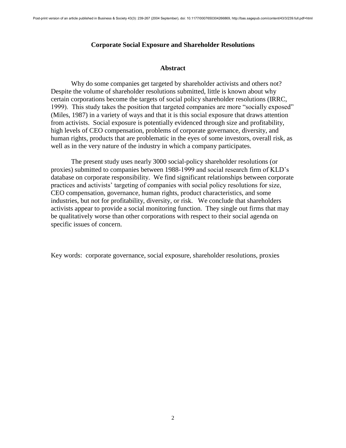#### **Corporate Social Exposure and Shareholder Resolutions**

#### **Abstract**

Why do some companies get targeted by shareholder activists and others not? Despite the volume of shareholder resolutions submitted, little is known about why certain corporations become the targets of social policy shareholder resolutions (IRRC, 1999). This study takes the position that targeted companies are more "socially exposed" (Miles, 1987) in a variety of ways and that it is this social exposure that draws attention from activists. Social exposure is potentially evidenced through size and profitability, high levels of CEO compensation, problems of corporate governance, diversity, and human rights, products that are problematic in the eyes of some investors, overall risk, as well as in the very nature of the industry in which a company participates.

The present study uses nearly 3000 social-policy shareholder resolutions (or proxies) submitted to companies between 1988-1999 and social research firm of KLD's database on corporate responsibility. We find significant relationships between corporate practices and activists' targeting of companies with social policy resolutions for size, CEO compensation, governance, human rights, product characteristics, and some industries, but not for profitability, diversity, or risk. We conclude that shareholders activists appear to provide a social monitoring function. They single out firms that may be qualitatively worse than other corporations with respect to their social agenda on specific issues of concern.

Key words: corporate governance, social exposure, shareholder resolutions, proxies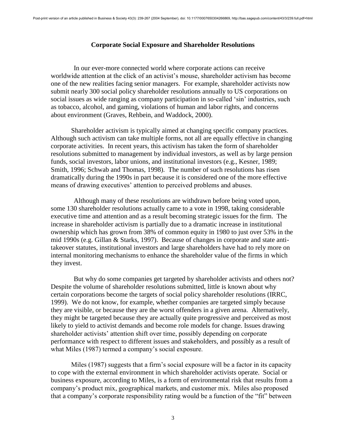#### **Corporate Social Exposure and Shareholder Resolutions**

In our ever-more connected world where corporate actions can receive worldwide attention at the click of an activist's mouse, shareholder activism has become one of the new realities facing senior managers. For example, shareholder activists now submit nearly 300 social policy shareholder resolutions annually to US corporations on social issues as wide ranging as company participation in so-called 'sin' industries, such as tobacco, alcohol, and gaming, violations of human and labor rights, and concerns about environment (Graves, Rehbein, and Waddock, 2000).

Shareholder activism is typically aimed at changing specific company practices. Although such activism can take multiple forms, not all are equally effective in changing corporate activities. In recent years, this activism has taken the form of shareholder resolutions submitted to management by individual investors, as well as by large pension funds, social investors, labor unions, and institutional investors (e.g., Kesner, 1989; Smith, 1996; Schwab and Thomas, 1998). The number of such resolutions has risen dramatically during the 1990s in part because it is considered one of the more effective means of drawing executives' attention to perceived problems and abuses.

Although many of these resolutions are withdrawn before being voted upon, some 130 shareholder resolutions actually came to a vote in 1998, taking considerable executive time and attention and as a result becoming strategic issues for the firm. The increase in shareholder activism is partially due to a dramatic increase in institutional ownership which has grown from 38% of common equity in 1980 to just over 53% in the mid 1990s (e.g. Gillan & Starks, 1997). Because of changes in corporate and state antitakeover statutes, institutional investors and large shareholders have had to rely more on internal monitoring mechanisms to enhance the shareholder value of the firms in which they invest.

But why do some companies get targeted by shareholder activists and others not? Despite the volume of shareholder resolutions submitted, little is known about why certain corporations become the targets of social policy shareholder resolutions (IRRC, 1999). We do not know, for example, whether companies are targeted simply because they are visible, or because they are the worst offenders in a given arena. Alternatively, they might be targeted because they are actually quite progressive and perceived as most likely to yield to activist demands and become role models for change. Issues drawing shareholder activists' attention shift over time, possibly depending on corporate performance with respect to different issues and stakeholders, and possibly as a result of what Miles (1987) termed a company's social exposure.

Miles (1987) suggests that a firm's social exposure will be a factor in its capacity to cope with the external environment in which shareholder activists operate. Social or business exposure, according to Miles, is a form of environmental risk that results from a company's product mix, geographical markets, and customer mix. Miles also proposed that a company's corporate responsibility rating would be a function of the "fit" between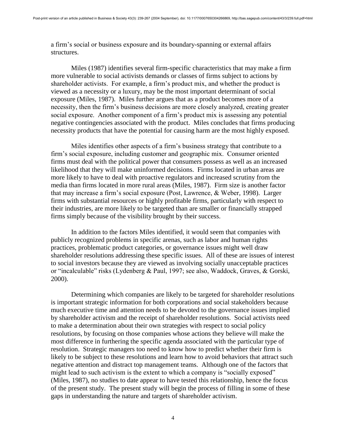a firm's social or business exposure and its boundary-spanning or external affairs structures.

Miles (1987) identifies several firm-specific characteristics that may make a firm more vulnerable to social activists demands or classes of firms subject to actions by shareholder activists. For example, a firm's product mix, and whether the product is viewed as a necessity or a luxury, may be the most important determinant of social exposure (Miles, 1987). Miles further argues that as a product becomes more of a necessity, then the firm's business decisions are more closely analyzed, creating greater social exposure. Another component of a firm's product mix is assessing any potential negative contingencies associated with the product. Miles concludes that firms producing necessity products that have the potential for causing harm are the most highly exposed.

Miles identifies other aspects of a firm's business strategy that contribute to a firm's social exposure, including customer and geographic mix. Consumer oriented firms must deal with the political power that consumers possess as well as an increased likelihood that they will make uninformed decisions. Firms located in urban areas are more likely to have to deal with proactive regulators and increased scrutiny from the media than firms located in more rural areas (Miles, 1987). Firm size is another factor that may increase a firm's social exposure (Post, Lawrence, & Weber, 1998). Larger firms with substantial resources or highly profitable firms, particularly with respect to their industries, are more likely to be targeted than are smaller or financially strapped firms simply because of the visibility brought by their success.

In addition to the factors Miles identified, it would seem that companies with publicly recognized problems in specific arenas, such as labor and human rights practices, problematic product categories, or governance issues might well draw shareholder resolutions addressing these specific issues. All of these are issues of interest to social investors because they are viewed as involving socially unacceptable practices or "incalculable" risks (Lydenberg & Paul, 1997; see also, Waddock, Graves, & Gorski, 2000).

Determining which companies are likely to be targeted for shareholder resolutions is important strategic information for both corporations and social stakeholders because much executive time and attention needs to be devoted to the governance issues implied by shareholder activism and the receipt of shareholder resolutions. Social activists need to make a determination about their own strategies with respect to social policy resolutions, by focusing on those companies whose actions they believe will make the most difference in furthering the specific agenda associated with the particular type of resolution. Strategic managers too need to know how to predict whether their firm is likely to be subject to these resolutions and learn how to avoid behaviors that attract such negative attention and distract top management teams. Although one of the factors that might lead to such activism is the extent to which a company is "socially exposed" (Miles, 1987), no studies to date appear to have tested this relationship, hence the focus of the present study. The present study will begin the process of filling in some of these gaps in understanding the nature and targets of shareholder activism.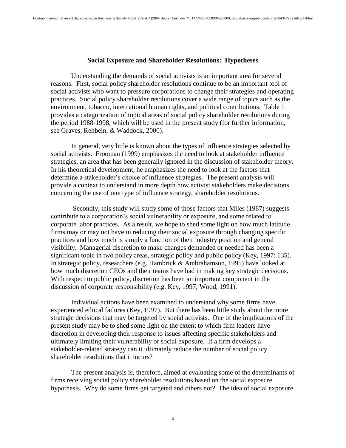#### **Social Exposure and Shareholder Resolutions: Hypotheses**

Understanding the demands of social activists is an important area for several reasons. First, social policy shareholder resolutions continue to be an important tool of social activists who want to pressure corporations to change their strategies and operating practices. Social policy shareholder resolutions cover a wide range of topics such as the environment, tobacco, international human rights, and political contributions. Table 1 provides a categorization of topical areas of social policy shareholder resolutions during the period 1988-1998, which will be used in the present study (for further information, see Graves, Rehbein, & Waddock, 2000).

In general, very little is known about the types of influence strategies selected by social activists. Frooman (1999) emphasizes the need to look at stakeholder influence strategies, an area that has been generally ignored in the discussion of stakeholder theory. In his theoretical development, he emphasizes the need to look at the factors that determine a stakeholder's choice of influence strategies. The present analysis will provide a context to understand in more depth how activist stakeholders make decisions concerning the use of one type of influence strategy, shareholder resolutions.

Secondly, this study will study some of those factors that Miles (1987) suggests contribute to a corporation's social vulnerability or exposure, and some related to corporate labor practices. As a result, we hope to shed some light on how much latitude firms may or may not have in reducing their social exposure through changing specific practices and how much is simply a function of their industry position and general visibility. Managerial discretion to make changes demanded or needed has been a significant topic in two policy areas, strategic policy and public policy (Key, 1997: 135). In strategic policy, researchers (e.g. Hambrick & Ambrahamson, 1995) have looked at how much discretion CEOs and their teams have had in making key strategic decisions. With respect to public policy, discretion has been an important component in the discussion of corporate responsibility (e.g. Key, 1997; Wood, 1991).

Individual actions have been examined to understand why some firms have experienced ethical failures (Key, 1997). But there has been little study about the more strategic decisions that may be targeted by social activists. One of the implications of the present study may be to shed some light on the extent to which firm leaders have discretion in developing their response to issues affecting specific stakeholders and ultimately limiting their vulnerability or social exposure. If a firm develops a stakeholder-related strategy can it ultimately reduce the number of social policy shareholder resolutions that it incurs?

The present analysis is, therefore, aimed at evaluating some of the determinants of firms receiving social policy shareholder resolutions based on the social exposure hypothesis. Why do some firms get targeted and others not? The idea of social exposure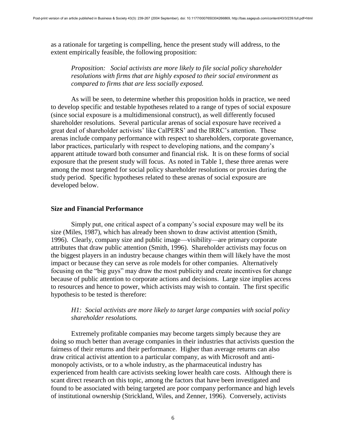as a rationale for targeting is compelling, hence the present study will address, to the extent empirically feasible, the following proposition:

*Proposition: Social activists are more likely to file social policy shareholder resolutions with firms that are highly exposed to their social environment as compared to firms that are less socially exposed.* 

As will be seen, to determine whether this proposition holds in practice, we need to develop specific and testable hypotheses related to a range of types of social exposure (since social exposure is a multidimensional construct), as well differently focused shareholder resolutions. Several particular arenas of social exposure have received a great deal of shareholder activists' like CalPERS' and the IRRC's attention. These arenas include company performance with respect to shareholders, corporate governance, labor practices, particularly with respect to developing nations, and the company's apparent attitude toward both consumer and financial risk. It is on these forms of social exposure that the present study will focus. As noted in Table 1, these three arenas were among the most targeted for social policy shareholder resolutions or proxies during the study period. Specific hypotheses related to these arenas of social exposure are developed below.

#### **Size and Financial Performance**

Simply put, one critical aspect of a company's social exposure may well be its size (Miles, 1987), which has already been shown to draw activist attention (Smith, 1996). Clearly, company size and public image—visibility—are primary corporate attributes that draw public attention (Smith, 1996). Shareholder activists may focus on the biggest players in an industry because changes within them will likely have the most impact or because they can serve as role models for other companies. Alternatively focusing on the "big guys" may draw the most publicity and create incentives for change because of public attention to corporate actions and decisions. Large size implies access to resources and hence to power, which activists may wish to contain. The first specific hypothesis to be tested is therefore:

## *H1: Social activists are more likely to target large companies with social policy shareholder resolutions.*

Extremely profitable companies may become targets simply because they are doing so much better than average companies in their industries that activists question the fairness of their returns and their performance. Higher than average returns can also draw critical activist attention to a particular company, as with Microsoft and antimonopoly activists, or to a whole industry, as the pharmaceutical industry has experienced from health care activists seeking lower health care costs. Although there is scant direct research on this topic, among the factors that have been investigated and found to be associated with being targeted are poor company performance and high levels of institutional ownership (Strickland, Wiles, and Zenner, 1996). Conversely, activists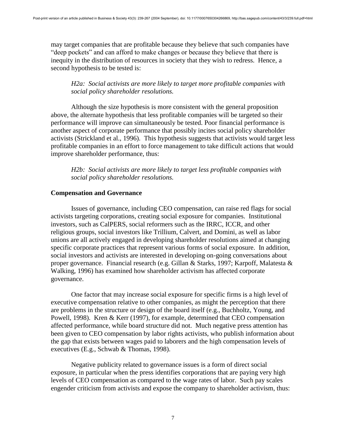may target companies that are profitable because they believe that such companies have "deep pockets" and can afford to make changes or because they believe that there is inequity in the distribution of resources in society that they wish to redress. Hence, a second hypothesis to be tested is:

# *H2a: Social activists are more likely to target more profitable companies with social policy shareholder resolutions.*

Although the size hypothesis is more consistent with the general proposition above, the alternate hypothesis that less profitable companies will be targeted so their performance will improve can simultaneously be tested. Poor financial performance is another aspect of corporate performance that possibly incites social policy shareholder activists (Strickland et al., 1996). This hypothesis suggests that activists would target less profitable companies in an effort to force management to take difficult actions that would improve shareholder performance, thus:

*H2b: Social activists are more likely to target less profitable companies with social policy shareholder resolutions.* 

## **Compensation and Governance**

Issues of governance, including CEO compensation, can raise red flags for social activists targeting corporations, creating social exposure for companies. Institutional investors, such as CalPERS, social reformers such as the IRRC, ICCR, and other religious groups, social investors like Trillium, Calvert, and Domini, as well as labor unions are all actively engaged in developing shareholder resolutions aimed at changing specific corporate practices that represent various forms of social exposure. In addition, social investors and activists are interested in developing on-going conversations about proper governance. Financial research (e.g. Gillan & Starks, 1997; Karpoff, Malatesta & Walking, 1996) has examined how shareholder activism has affected corporate governance.

One factor that may increase social exposure for specific firms is a high level of executive compensation relative to other companies, as might the perception that there are problems in the structure or design of the board itself (e.g., Buchholtz, Young, and Powell, 1998). Kren & Kerr (1997), for example, determined that CEO compensation affected performance, while board structure did not. Much negative press attention has been given to CEO compensation by labor rights activists, who publish information about the gap that exists between wages paid to laborers and the high compensation levels of executives (E.g., Schwab & Thomas, 1998).

Negative publicity related to governance issues is a form of direct social exposure, in particular when the press identifies corporations that are paying very high levels of CEO compensation as compared to the wage rates of labor. Such pay scales engender criticism from activists and expose the company to shareholder activism, thus: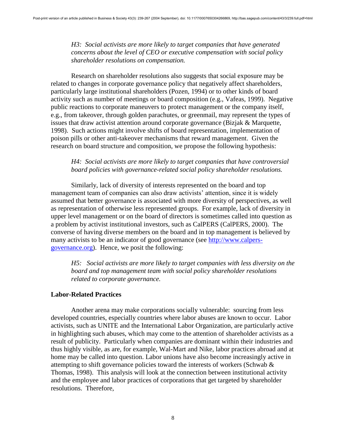*H3: Social activists are more likely to target companies that have generated concerns about the level of CEO or executive compensation with social policy shareholder resolutions on compensation.* 

Research on shareholder resolutions also suggests that social exposure may be related to changes in corporate governance policy that negatively affect shareholders, particularly large institutional shareholders (Pozen, 1994) or to other kinds of board activity such as number of meetings or board composition (e.g., Vafeas, 1999). Negative public reactions to corporate maneuvers to protect management or the company itself, e.g., from takeover, through golden parachutes, or greenmail, may represent the types of issues that draw activist attention around corporate governance (Bizjak & Marquette, 1998). Such actions might involve shifts of board representation, implementation of poison pills or other anti-takeover mechanisms that reward management. Given the research on board structure and composition, we propose the following hypothesis:

## *H4: Social activists are more likely to target companies that have controversial board policies with governance-related social policy shareholder resolutions.*

Similarly, lack of diversity of interests represented on the board and top management team of companies can also draw activists' attention, since it is widely assumed that better governance is associated with more diversity of perspectives, as well as representation of otherwise less represented groups. For example, lack of diversity in upper level management or on the board of directors is sometimes called into question as a problem by activist institutional investors, such as CalPERS (CalPERS, 2000). The converse of having diverse members on the board and in top management is believed by many activists to be an indicator of good governance (see [http://www.calpers](http://www.calpers-governance.org/)[governance.org\)](http://www.calpers-governance.org/). Hence, we posit the following:

*H5: Social activists are more likely to target companies with less diversity on the board and top management team with social policy shareholder resolutions related to corporate governance.* 

#### **Labor-Related Practices**

Another arena may make corporations socially vulnerable: sourcing from less developed countries, especially countries where labor abuses are known to occur. Labor activists, such as UNITE and the International Labor Organization, are particularly active in highlighting such abuses, which may come to the attention of shareholder activists as a result of publicity. Particularly when companies are dominant within their industries and thus highly visible, as are, for example, Wal-Mart and Nike, labor practices abroad and at home may be called into question. Labor unions have also become increasingly active in attempting to shift governance policies toward the interests of workers (Schwab & Thomas, 1998). This analysis will look at the connection between institutional activity and the employee and labor practices of corporations that get targeted by shareholder resolutions. Therefore,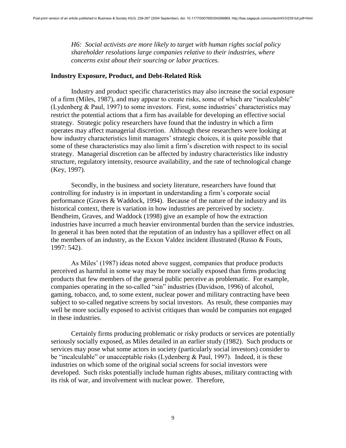*H6: Social activists are more likely to target with human rights social policy shareholder resolutions large companies relative to their industries, where concerns exist about their sourcing or labor practices.* 

#### **Industry Exposure, Product, and Debt-Related Risk**

Industry and product specific characteristics may also increase the social exposure of a firm (Miles, 1987), and may appear to create risks, some of which are "incalculable" (Lydenberg & Paul, 1997) to some investors. First, some industries' characteristics may restrict the potential actions that a firm has available for developing an effective social strategy. Strategic policy researchers have found that the industry in which a firm operates may affect managerial discretion. Although these researchers were looking at how industry characteristics limit managers' strategic choices, it is quite possible that some of these characteristics may also limit a firm's discretion with respect to its social strategy. Managerial discretion can be affected by industry characteristics like industry structure, regulatory intensity, resource availability, and the rate of technological change (Key, 1997).

Secondly, in the business and society literature, researchers have found that controlling for industry is in important in understanding a firm's corporate social performance (Graves & Waddock, 1994). Because of the nature of the industry and its historical context, there is variation in how industries are perceived by society. Bendheim, Graves, and Waddock (1998) give an example of how the extraction industries have incurred a much heavier environmental burden than the service industries. In general it has been noted that the reputation of an industry has a spillover effect on all the members of an industry, as the Exxon Valdez incident illustrated (Russo & Fouts, 1997: 542).

As Miles' (1987) ideas noted above suggest, companies that produce products perceived as harmful in some way may be more socially exposed than firms producing products that few members of the general public perceive as problematic. For example, companies operating in the so-called "sin" industries (Davidson, 1996) of alcohol, gaming, tobacco, and, to some extent, nuclear power and military contracting have been subject to so-called negative screens by social investors. As result, these companies may well be more socially exposed to activist critiques than would be companies not engaged in these industries.

Certainly firms producing problematic or risky products or services are potentially seriously socially exposed, as Miles detailed in an earlier study (1982). Such products or services may pose what some actors in society (particularly social investors) consider to be "incalculable" or unacceptable risks (Lydenberg & Paul, 1997). Indeed, it is these industries on which some of the original social screens for social investors were developed. Such risks potentially include human rights abuses, military contracting with its risk of war, and involvement with nuclear power. Therefore,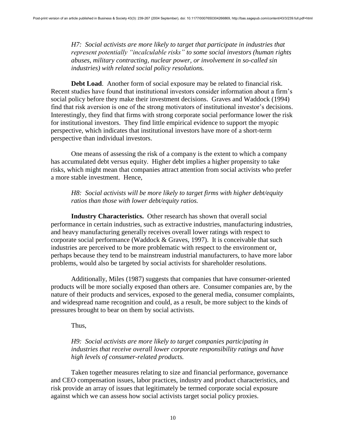*H7: Social activists are more likely to target that participate in industries that represent potentially "incalculable risks" to some social investors (human rights abuses, military contracting, nuclear power, or involvement in so-called sin industries) with related social policy resolutions.* 

**Debt Load**. Another form of social exposure may be related to financial risk. Recent studies have found that institutional investors consider information about a firm's social policy before they make their investment decisions. Graves and Waddock (1994) find that risk aversion is one of the strong motivators of institutional investor's decisions. Interestingly, they find that firms with strong corporate social performance lower the risk for institutional investors. They find little empirical evidence to support the myopic perspective, which indicates that institutional investors have more of a short-term perspective than individual investors.

One means of assessing the risk of a company is the extent to which a company has accumulated debt versus equity. Higher debt implies a higher propensity to take risks, which might mean that companies attract attention from social activists who prefer a more stable investment. Hence,

## *H8: Social activists will be more likely to target firms with higher debt/equity ratios than those with lower debt/equity ratios.*

**Industry Characteristics.** Other research has shown that overall social performance in certain industries, such as extractive industries, manufacturing industries, and heavy manufacturing generally receives overall lower ratings with respect to corporate social performance (Waddock & Graves, 1997). It is conceivable that such industries are perceived to be more problematic with respect to the environment or, perhaps because they tend to be mainstream industrial manufacturers, to have more labor problems, would also be targeted by social activists for shareholder resolutions.

Additionally, Miles (1987) suggests that companies that have consumer-oriented products will be more socially exposed than others are. Consumer companies are, by the nature of their products and services, exposed to the general media, consumer complaints, and widespread name recognition and could, as a result, be more subject to the kinds of pressures brought to bear on them by social activists.

Thus,

## *H9: Social activists are more likely to target companies participating in industries that receive overall lower corporate responsibility ratings and have high levels of consumer-related products.*

Taken together measures relating to size and financial performance, governance and CEO compensation issues, labor practices, industry and product characteristics, and risk provide an array of issues that legitimately be termed corporate social exposure against which we can assess how social activists target social policy proxies.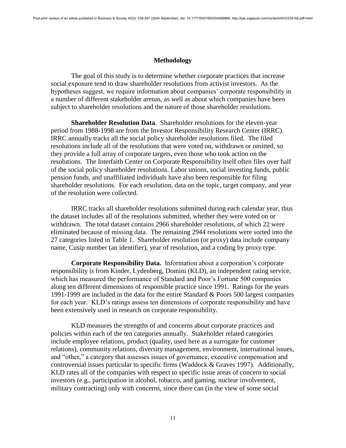#### **Methodology**

The goal of this study is to determine whether corporate practices that increase social exposure tend to draw shareholder resolutions from activist investors. As the hypotheses suggest, we require information about companies' corporate responsibility in a number of different stakeholder arenas, as well as about which companies have been subject to shareholder resolutions and the nature of those shareholder resolutions.

**Shareholder Resolution Data**. Shareholder resolutions for the eleven-year period from 1988-1998 are from the Investor Responsibility Research Center (IRRC). IRRC annually tracks all the social policy shareholder resolutions filed. The filed resolutions include all of the resolutions that were voted on, withdrawn or omitted, so they provide a full array of corporate targets, even those who took action on the resolutions. The Interfaith Center on Corporate Responsibility itself often files over half of the social policy shareholder resolutions. Labor unions, social investing funds, public pension funds, and unaffiliated individuals have also been responsible for filing shareholder resolutions. For each resolution, data on the topic, target company, and year of the resolution were collected.

IRRC tracks all shareholder resolutions submitted during each calendar year, thus the dataset includes all of the resolutions submitted, whether they were voted on or withdrawn. The total dataset contains 2966 shareholder resolutions, of which 22 were eliminated because of missing data. The remaining 2944 resolutions were sorted into the 27 categories listed in Table 1. Shareholder resolution (or proxy) data include company name, Cusip number (an identifier), year of resolution, and a coding by proxy type.

**Corporate Responsibility Data.** Information about a corporation's corporate responsibility is from Kinder, Lydenberg, Domini (KLD), an independent rating service, which has measured the performance of Standard and Poor's Fortune 500 companies along ten different dimensions of responsible practice since 1991. Ratings for the years 1991-1999 are included in the data for the entire Standard & Poors 500 largest companies for each year. KLD's ratings assess ten dimensions of corporate responsibility and have been extensively used in research on corporate responsibility.

KLD measures the strengths of and concerns about corporate practices and policies within each of the ten categories annually. Stakeholder related categories include employee relations, product (quality, used here as a surrogate for customer relations), community relations, diversity management, environment, international issues, and "other," a category that assesses issues of governance, executive compensation and controversial issues particular to specific firms (Waddock & Graves 1997). Additionally, KLD rates all of the companies with respect to specific issue areas of concern to social investors (e.g., participation in alcohol, tobacco, and gaming, nuclear involvement, military contracting) only with concerns, since there can (in the view of some social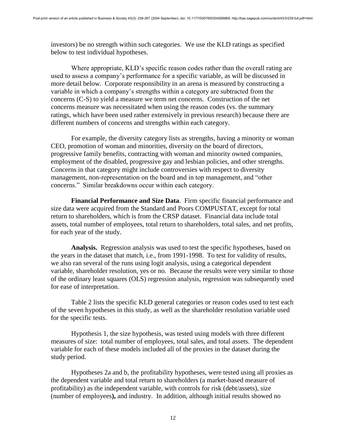investors) be no strength within such categories. We use the KLD ratings as specified below to test individual hypotheses.

Where appropriate, KLD's specific reason codes rather than the overall rating are used to assess a company's performance for a specific variable, as will be discussed in more detail below. Corporate responsibility in an arena is measured by constructing a variable in which a company's strengths within a category are subtracted from the concerns (C-S) to yield a measure we term net concerns. Construction of the net concerns measure was necessitated when using the reason codes (vs. the summary ratings, which have been used rather extensively in previous research) because there are different numbers of concerns and strengths within each category.

For example, the diversity category lists as strengths, having a minority or woman CEO, promotion of woman and minorities, diversity on the board of directors, progressive family benefits, contracting with woman and minority owned companies, employment of the disabled, progressive gay and lesbian policies, and other strengths. Concerns in that category might include controversies with respect to diversity management, non-representation on the board and in top management, and "other concerns." Similar breakdowns occur within each category.

**Financial Performance and Size Data**. Firm specific financial performance and size data were acquired from the Standard and Poors COMPUSTAT, except for total return to shareholders, which is from the CRSP dataset. Financial data include total assets, total number of employees, total return to shareholders, total sales, and net profits, for each year of the study.

**Analysis.** Regression analysis was used to test the specific hypotheses, based on the years in the dataset that match, i.e., from 1991-1998. To test for validity of results, we also ran several of the runs using logit analysis, using a categorical dependent variable, shareholder resolution, yes or no. Because the results were very similar to those of the ordinary least squares (OLS) regression analysis, regression was subsequently used for ease of interpretation.

Table 2 lists the specific KLD general categories or reason codes used to test each of the seven hypotheses in this study, as well as the shareholder resolution variable used for the specific tests.

Hypothesis 1, the size hypothesis, was tested using models with three different measures of size: total number of employees, total sales, and total assets. The dependent variable for each of these models included all of the proxies in the dataset during the study period.

Hypotheses 2a and b, the profitability hypotheses, were tested using all proxies as the dependent variable and total return to shareholders (a market-based measure of profitability) as the independent variable, with controls for risk (debt/assets), size (number of employees**),** and industry. In addition, although initial results showed no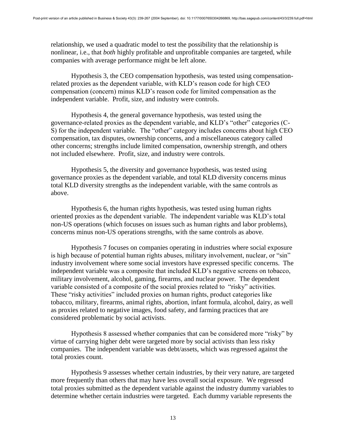relationship, we used a quadratic model to test the possibility that the relationship is nonlinear, i.e., that *both* highly profitable and unprofitable companies are targeted, while companies with average performance might be left alone.

Hypothesis 3, the CEO compensation hypothesis, was tested using compensationrelated proxies as the dependent variable, with KLD's reason code for high CEO compensation (concern) minus KLD's reason code for limited compensation as the independent variable. Profit, size, and industry were controls.

Hypothesis 4, the general governance hypothesis, was tested using the governance-related proxies as the dependent variable, and KLD's "other" categories (C-S) for the independent variable. The "other" category includes concerns about high CEO compensation, tax disputes, ownership concerns, and a miscellaneous category called other concerns; strengths include limited compensation, ownership strength, and others not included elsewhere. Profit, size, and industry were controls.

Hypothesis 5, the diversity and governance hypothesis, was tested using governance proxies as the dependent variable, and total KLD diversity concerns minus total KLD diversity strengths as the independent variable, with the same controls as above.

Hypothesis 6, the human rights hypothesis, was tested using human rights oriented proxies as the dependent variable. The independent variable was KLD's total non-US operations (which focuses on issues such as human rights and labor problems), concerns minus non-US operations strengths, with the same controls as above.

Hypothesis 7 focuses on companies operating in industries where social exposure is high because of potential human rights abuses, military involvement, nuclear, or "sin" industry involvement where some social investors have expressed specific concerns. The independent variable was a composite that included KLD's negative screens on tobacco, military involvement, alcohol, gaming, firearms, and nuclear power. The dependent variable consisted of a composite of the social proxies related to "risky" activities. These "risky activities" included proxies on human rights, product categories like tobacco, military, firearms, animal rights, abortion, infant formula, alcohol, dairy, as well as proxies related to negative images, food safety, and farming practices that are considered problematic by social activists.

Hypothesis 8 assessed whether companies that can be considered more "risky" by virtue of carrying higher debt were targeted more by social activists than less risky companies. The independent variable was debt/assets, which was regressed against the total proxies count.

Hypothesis 9 assesses whether certain industries, by their very nature, are targeted more frequently than others that may have less overall social exposure. We regressed total proxies submitted as the dependent variable against the industry dummy variables to determine whether certain industries were targeted. Each dummy variable represents the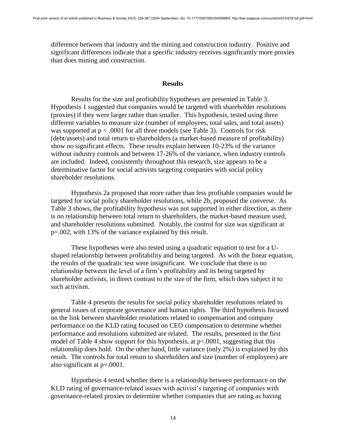difference between that industry and the mining and construction industry. Positive and significant differences indicate that a specific industry receives significantly more proxies than does mining and construction.

#### **Results**

Results for the size and profitability hypotheses are presented in Table 3. Hypothesis 1 suggested that companies would be targeted with shareholder resolutions (proxies) if they were larger rather than smaller. This hypothesis, tested using three different variables to measure size (number of employees, total sales, and total assets) was supported at  $p < .0001$  for all three models (see Table 3). Controls for risk (debt/assets) and total return to shareholders (a market-based measure of profitability) show no significant effects. These results explain between 10-23% of the variance without industry controls and between 17-26% of the variance, when industry controls are included. Indeed, consistently throughout this research, size appears to be a determinative factor for social activists targeting companies with social policy shareholder resolutions.

Hypothesis 2a proposed that more rather than less profitable companies would be targeted for social policy shareholder resolutions, while 2b, proposed the converse. As Table 3 shows, the profitability hypothesis was not supported in either direction, as there is no relationship between total return to shareholders, the market-based measure used, and shareholder resolutions submitted. Notably, the control for size was significant at p=.002, with 13% of the variance explained by this result.

These hypotheses were also tested using a quadratic equation to test for a Ushaped relationship between profitability and being targeted. As with the linear equation, the results of the quadratic test were insignificant. We conclude that there is no relationship between the level of a firm's profitability and its being targeted by shareholder activists, in direct contrast to the size of the firm, which does subject it to such activism.

Table 4 presents the results for social policy shareholder resolutions related to general issues of corporate governance and human rights. The third hypothesis focused on the link between shareholder resolutions related to compensation and company performance on the KLD rating focused on CEO compensation to determine whether performance and resolutions submitted are related. The results, presented in the first model of Table 4 show support for this hypothesis, at p<.0001, suggesting that this relationship does hold. On the other hand, little variance (only 2%) is explained by this result. The controls for total return to shareholders and size (number of employees) are also significant at p<.0001.

Hypothesis 4 tested whether there is a relationship between performance on the KLD rating of governance-related issues with activist's targeting of companies with governance-related proxies to determine whether companies that are rating as having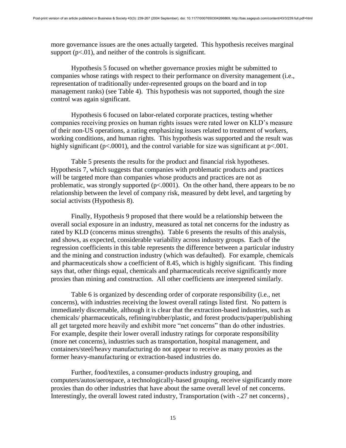more governance issues are the ones actually targeted. This hypothesis receives marginal support  $(p<.01)$ , and neither of the controls is significant.

Hypothesis 5 focused on whether governance proxies might be submitted to companies whose ratings with respect to their performance on diversity management (i.e., representation of traditionally under-represented groups on the board and in top management ranks) (see Table 4). This hypothesis was not supported, though the size control was again significant.

Hypothesis 6 focused on labor-related corporate practices, testing whether companies receiving proxies on human rights issues were rated lower on KLD's measure of their non-US operations, a rating emphasizing issues related to treatment of workers, working conditions, and human rights. This hypothesis was supported and the result was highly significant ( $p<0001$ ), and the control variable for size was significant at  $p<001$ .

Table 5 presents the results for the product and financial risk hypotheses. Hypothesis 7, which suggests that companies with problematic products and practices will be targeted more than companies whose products and practices are not as problematic, was strongly supported  $(p< .0001)$ . On the other hand, there appears to be no relationship between the level of company risk, measured by debt level, and targeting by social activists (Hypothesis 8).

Finally, Hypothesis 9 proposed that there would be a relationship between the overall social exposure in an industry, measured as total net concerns for the industry as rated by KLD (concerns minus strengths). Table 6 presents the results of this analysis, and shows, as expected, considerable variability across industry groups. Each of the regression coefficients in this table represents the difference between a particular industry and the mining and construction industry (which was defaulted). For example, chemicals and pharmaceuticals show a coefficient of 8.45, which is highly significant. This finding says that, other things equal, chemicals and pharmaceuticals receive significantly more proxies than mining and construction. All other coefficients are interpreted similarly.

Table 6 is organized by descending order of corporate responsibility (i.e., net concerns), with industries receiving the lowest overall ratings listed first. No pattern is immediately discernable, although it is clear that the extraction-based industries, such as chemicals/ pharmaceuticals, refining/rubber/plastic, and forest products/paper/publishing all get targeted more heavily and exhibit more "net concerns" than do other industries. For example, despite their lower overall industry ratings for corporate responsibility (more net concerns), industries such as transportation, hospital management, and containers/steel/heavy manufacturing do not appear to receive as many proxies as the former heavy-manufacturing or extraction-based industries do.

Further, food/textiles, a consumer-products industry grouping, and computers/autos/aerospace, a technologically-based grouping, receive significantly more proxies than do other industries that have about the same overall level of net concerns. Interestingly, the overall lowest rated industry, Transportation (with -.27 net concerns) ,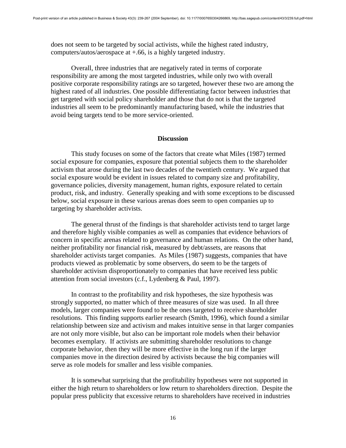does not seem to be targeted by social activists, while the highest rated industry, computers/autos/aerospace at +.66, is a highly targeted industry.

Overall, three industries that are negatively rated in terms of corporate responsibility are among the most targeted industries, while only two with overall positive corporate responsibility ratings are so targeted, however these two are among the highest rated of all industries. One possible differentiating factor between industries that get targeted with social policy shareholder and those that do not is that the targeted industries all seem to be predominantly manufacturing based, while the industries that avoid being targets tend to be more service-oriented.

#### **Discussion**

This study focuses on some of the factors that create what Miles (1987) termed social exposure for companies, exposure that potential subjects them to the shareholder activism that arose during the last two decades of the twentieth century. We argued that social exposure would be evident in issues related to company size and profitability, governance policies, diversity management, human rights, exposure related to certain product, risk, and industry. Generally speaking and with some exceptions to be discussed below, social exposure in these various arenas does seem to open companies up to targeting by shareholder activists.

The general thrust of the findings is that shareholder activists tend to target large and therefore highly visible companies as well as companies that evidence behaviors of concern in specific arenas related to governance and human relations. On the other hand, neither profitability nor financial risk, measured by debt/assets, are reasons that shareholder activists target companies. As Miles (1987) suggests, companies that have products viewed as problematic by some observers, do seem to be the targets of shareholder activism disproportionately to companies that have received less public attention from social investors (c.f., Lydenberg & Paul, 1997).

In contrast to the profitability and risk hypotheses, the size hypothesis was strongly supported, no matter which of three measures of size was used. In all three models, larger companies were found to be the ones targeted to receive shareholder resolutions. This finding supports earlier research (Smith, 1996), which found a similar relationship between size and activism and makes intuitive sense in that larger companies are not only more visible, but also can be important role models when their behavior becomes exemplary. If activists are submitting shareholder resolutions to change corporate behavior, then they will be more effective in the long run if the larger companies move in the direction desired by activists because the big companies will serve as role models for smaller and less visible companies.

It is somewhat surprising that the profitability hypotheses were not supported in either the high return to shareholders or low return to shareholders direction. Despite the popular press publicity that excessive returns to shareholders have received in industries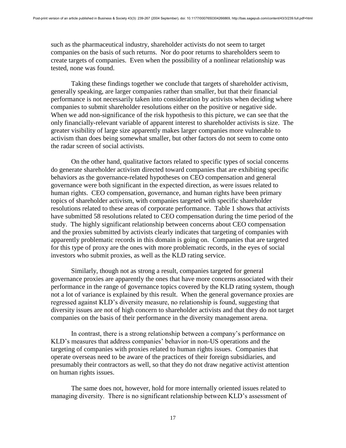such as the pharmaceutical industry, shareholder activists do not seem to target companies on the basis of such returns. Nor do poor returns to shareholders seem to create targets of companies. Even when the possibility of a nonlinear relationship was tested, none was found.

Taking these findings together we conclude that targets of shareholder activism, generally speaking, are larger companies rather than smaller, but that their financial performance is not necessarily taken into consideration by activists when deciding where companies to submit shareholder resolutions either on the positive or negative side. When we add non-significance of the risk hypothesis to this picture, we can see that the only financially-relevant variable of apparent interest to shareholder activists is size. The greater visibility of large size apparently makes larger companies more vulnerable to activism than does being somewhat smaller, but other factors do not seem to come onto the radar screen of social activists.

On the other hand, qualitative factors related to specific types of social concerns do generate shareholder activism directed toward companies that are exhibiting specific behaviors as the governance-related hypotheses on CEO compensation and general governance were both significant in the expected direction, as were issues related to human rights. CEO compensation, governance, and human rights have been primary topics of shareholder activism, with companies targeted with specific shareholder resolutions related to these areas of corporate performance. Table 1 shows that activists have submitted 58 resolutions related to CEO compensation during the time period of the study. The highly significant relationship between concerns about CEO compensation and the proxies submitted by activists clearly indicates that targeting of companies with apparently problematic records in this domain is going on. Companies that are targeted for this type of proxy are the ones with more problematic records, in the eyes of social investors who submit proxies, as well as the KLD rating service.

Similarly, though not as strong a result, companies targeted for general governance proxies are apparently the ones that have more concerns associated with their performance in the range of governance topics covered by the KLD rating system, though not a lot of variance is explained by this result. When the general governance proxies are regressed against KLD's diversity measure, no relationship is found, suggesting that diversity issues are not of high concern to shareholder activists and that they do not target companies on the basis of their performance in the diversity management arena.

In contrast, there is a strong relationship between a company's performance on KLD's measures that address companies' behavior in non-US operations and the targeting of companies with proxies related to human rights issues. Companies that operate overseas need to be aware of the practices of their foreign subsidiaries, and presumably their contractors as well, so that they do not draw negative activist attention on human rights issues.

The same does not, however, hold for more internally oriented issues related to managing diversity. There is no significant relationship between KLD's assessment of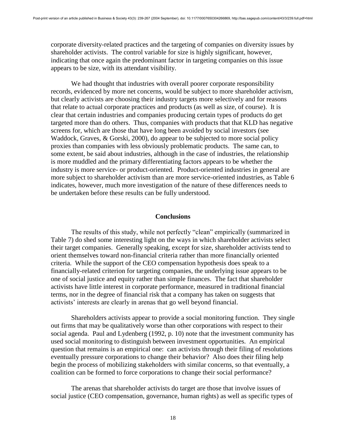corporate diversity-related practices and the targeting of companies on diversity issues by shareholder activists. The control variable for size is highly significant, however, indicating that once again the predominant factor in targeting companies on this issue appears to be size, with its attendant visibility.

We had thought that industries with overall poorer corporate responsibility records, evidenced by more net concerns, would be subject to more shareholder activism, but clearly activists are choosing their industry targets more selectively and for reasons that relate to actual corporate practices and products (as well as size, of course). It is clear that certain industries and companies producing certain types of products do get targeted more than do others. Thus, companies with products that that KLD has negative screens for, which are those that have long been avoided by social investors (see Waddock, Graves, & Gorski, 2000), do appear to be subjected to more social policy proxies than companies with less obviously problematic products. The same can, to some extent, be said about industries, although in the case of industries, the relationship is more muddled and the primary differentiating factors appears to be whether the industry is more service- or product-oriented. Product-oriented industries in general are more subject to shareholder activism than are more service-oriented industries, as Table 6 indicates, however, much more investigation of the nature of these differences needs to be undertaken before these results can be fully understood.

#### **Conclusions**

The results of this study, while not perfectly "clean" empirically (summarized in Table 7) do shed some interesting light on the ways in which shareholder activists select their target companies. Generally speaking, except for size, shareholder activists tend to orient themselves toward non-financial criteria rather than more financially oriented criteria. While the support of the CEO compensation hypothesis does speak to a financially-related criterion for targeting companies, the underlying issue appears to be one of social justice and equity rather than simple finances. The fact that shareholder activists have little interest in corporate performance, measured in traditional financial terms, nor in the degree of financial risk that a company has taken on suggests that activists' interests are clearly in arenas that go well beyond financial.

Shareholders activists appear to provide a social monitoring function. They single out firms that may be qualitatively worse than other corporations with respect to their social agenda. Paul and Lydenberg (1992, p. 10) note that the investment community has used social monitoring to distinguish between investment opportunities. An empirical question that remains is an empirical one: can activists through their filing of resolutions eventually pressure corporations to change their behavior? Also does their filing help begin the process of mobilizing stakeholders with similar concerns, so that eventually, a coalition can be formed to force corporations to change their social performance?

The arenas that shareholder activists do target are those that involve issues of social justice (CEO compensation, governance, human rights) as well as specific types of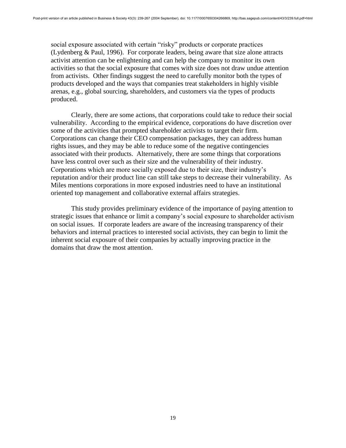social exposure associated with certain "risky" products or corporate practices (Lydenberg & Paul, 1996). For corporate leaders, being aware that size alone attracts activist attention can be enlightening and can help the company to monitor its own activities so that the social exposure that comes with size does not draw undue attention from activists. Other findings suggest the need to carefully monitor both the types of products developed and the ways that companies treat stakeholders in highly visible arenas, e.g., global sourcing, shareholders, and customers via the types of products produced.

Clearly, there are some actions, that corporations could take to reduce their social vulnerability. According to the empirical evidence, corporations do have discretion over some of the activities that prompted shareholder activists to target their firm. Corporations can change their CEO compensation packages, they can address human rights issues, and they may be able to reduce some of the negative contingencies associated with their products. Alternatively, there are some things that corporations have less control over such as their size and the vulnerability of their industry. Corporations which are more socially exposed due to their size, their industry's reputation and/or their product line can still take steps to decrease their vulnerability. As Miles mentions corporations in more exposed industries need to have an institutional oriented top management and collaborative external affairs strategies.

This study provides preliminary evidence of the importance of paying attention to strategic issues that enhance or limit a company's social exposure to shareholder activism on social issues. If corporate leaders are aware of the increasing transparency of their behaviors and internal practices to interested social activists, they can begin to limit the inherent social exposure of their companies by actually improving practice in the domains that draw the most attention.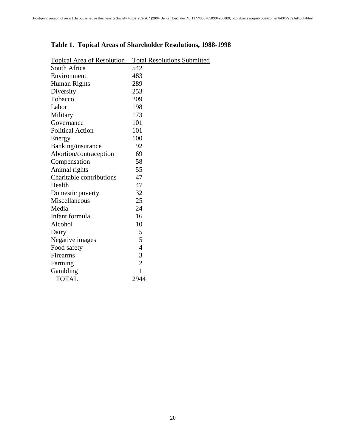| <b>Topical Area of Resolution</b> | <b>Total Resolutions Submitted</b> |
|-----------------------------------|------------------------------------|
| South Africa                      | 542                                |
| Environment                       | 483                                |
| Human Rights                      | 289                                |
| Diversity                         | 253                                |
| Tobacco                           | 209                                |
| Labor                             | 198                                |
| Military                          | 173                                |
| Governance                        | 101                                |
| <b>Political Action</b>           | 101                                |
| Energy                            | 100                                |
| Banking/insurance                 | 92                                 |
| Abortion/contraception            | 69                                 |
| Compensation                      | 58                                 |
| Animal rights                     | 55                                 |
| Charitable contributions          | 47                                 |
| Health                            | 47                                 |
| Domestic poverty                  | 32                                 |
| Miscellaneous                     | 25                                 |
| Media                             | 24                                 |
| Infant formula                    | 16                                 |
| Alcohol                           | 10                                 |
| Dairy                             | 5                                  |
| Negative images                   | 5                                  |
| Food safety                       | $\overline{4}$                     |
| Firearms                          | 3                                  |
| Farming                           | $\overline{2}$                     |
| Gambling                          | $\mathbf{1}$                       |
| <b>TOTAL</b>                      | 2944                               |

# **Table 1. Topical Areas of Shareholder Resolutions, 1988-1998**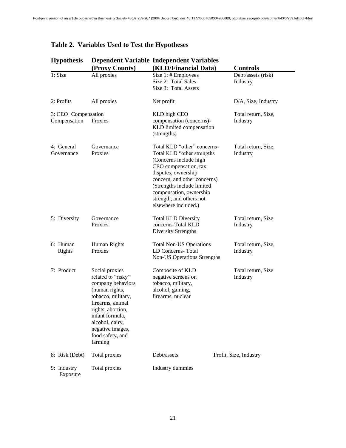L,

| <b>Hypothesis</b>                   |                                                                                                                                                                                                                                     | <b>Dependent Variable Independent Variables</b>                                                                                                                                                                                                                                  |                                 |
|-------------------------------------|-------------------------------------------------------------------------------------------------------------------------------------------------------------------------------------------------------------------------------------|----------------------------------------------------------------------------------------------------------------------------------------------------------------------------------------------------------------------------------------------------------------------------------|---------------------------------|
|                                     | (Proxy Counts)                                                                                                                                                                                                                      | (KLD/Financial Data)                                                                                                                                                                                                                                                             | <b>Controls</b>                 |
| 1: Size                             | All proxies                                                                                                                                                                                                                         | Size 1: # Employees<br>Size 2: Total Sales<br>Size 3: Total Assets                                                                                                                                                                                                               | Debt/assets (risk)<br>Industry  |
| 2: Profits                          | All proxies                                                                                                                                                                                                                         | Net profit                                                                                                                                                                                                                                                                       | D/A, Size, Industry             |
| 3: CEO Compensation<br>Compensation | Proxies                                                                                                                                                                                                                             | KLD high CEO<br>compensation (concerns)-<br>KLD limited compensation<br>(strengths)                                                                                                                                                                                              | Total return, Size,<br>Industry |
| 4: General<br>Governance            | Governance<br>Proxies                                                                                                                                                                                                               | Total KLD "other" concerns-<br>Total KLD "other strengths<br>(Concerns include high<br>CEO compensation, tax<br>disputes, ownership<br>concern, and other concerns)<br>(Strengths include limited<br>compensation, ownership<br>strength, and others not<br>elsewhere included.) | Total return, Size,<br>Industry |
| 5: Diversity                        | Governance<br>Proxies                                                                                                                                                                                                               | <b>Total KLD Diversity</b><br>concerns-Total KLD<br>Diversity Strengths                                                                                                                                                                                                          | Total return, Size<br>Industry  |
| 6: Human<br>Rights                  | Human Rights<br>Proxies                                                                                                                                                                                                             | <b>Total Non-US Operations</b><br>LD Concerns-Total<br>Non-US Operations Strengths                                                                                                                                                                                               | Total return, Size,<br>Industry |
| 7: Product                          | Social proxies<br>related to "risky"<br>company behaviors<br>(human rights,<br>tobacco, military,<br>firearms, animal<br>rights, abortion,<br>infant formula,<br>alcohol, dairy,<br>negative images,<br>food safety, and<br>farming | Composite of KLD<br>negative screens on<br>tobacco, military,<br>alcohol, gaming,<br>firearms, nuclear                                                                                                                                                                           | Total return, Size<br>Industry  |
| 8: Risk (Debt)                      | Total proxies                                                                                                                                                                                                                       | Debt/assets                                                                                                                                                                                                                                                                      | Profit, Size, Industry          |
| 9: Industry<br>Exposure             | Total proxies                                                                                                                                                                                                                       | Industry dummies                                                                                                                                                                                                                                                                 |                                 |

# **Table 2. Variables Used to Test the Hypotheses**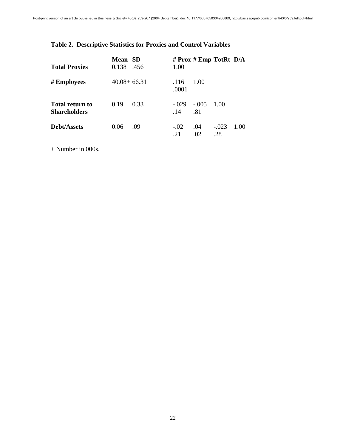# **Table 2. Descriptive Statistics for Proxies and Control Variables**

| <b>Total Proxies</b>                   | <b>Mean</b> SD<br>0.138 | .456 | 1.00           | # $Prox$ # $Emp$ TotRt $D/A$ |                |      |
|----------------------------------------|-------------------------|------|----------------|------------------------------|----------------|------|
| # Employees                            | $40.08 + 66.31$         |      | .116<br>.0001  | 1.00                         |                |      |
| Total return to<br><b>Shareholders</b> | 0.19                    | 0.33 | $-.029$<br>.14 | $-.005$<br>.81               | 1.00           |      |
| Debt/Assets                            | 0.06                    | .09  | $-.02$<br>21   | .04<br>.02                   | $-.023$<br>.28 | 1.00 |

+ Number in 000s.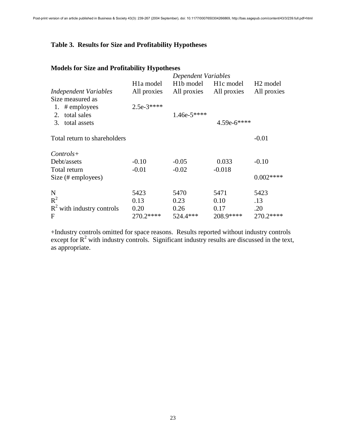# **Table 3. Results for Size and Profitability Hypotheses**

# **Models for Size and Profitability Hypotheses**

| MOUCHS TOT SIZE and I FOLITADILLY Trypollieses |                        |                                              |             |                      |
|------------------------------------------------|------------------------|----------------------------------------------|-------------|----------------------|
|                                                |                        | Dependent Variables                          |             |                      |
|                                                | H <sub>1</sub> a model | H <sub>1</sub> b model H <sub>1c</sub> model |             | H <sub>2</sub> model |
| Independent Variables                          | All proxies            | All proxies                                  | All proxies | All proxies          |
| Size measured as                               |                        |                                              |             |                      |
| # employees<br>1.                              | $2.5e-3***$            |                                              |             |                      |
| total sales<br>2.                              |                        | $1.46e-5***$                                 |             |                      |
| 3. total assets                                |                        |                                              | 4.59e-6**** |                      |
| Total return to shareholders                   |                        |                                              |             | $-0.01$              |
| $Controls+$                                    |                        |                                              |             |                      |
| Debt/assets                                    | $-0.10$                | $-0.05$                                      | 0.033       | $-0.10$              |
| Total return                                   | $-0.01$                | $-0.02$                                      | $-0.018$    |                      |
| Size (# employees)                             |                        |                                              |             | $0.002***$           |
| N                                              | 5423                   | 5470                                         | 5471        | 5423                 |
| $R^2$                                          | 0.13                   | 0.23                                         | 0.10        | .13                  |
| $R^2$ with industry controls                   | 0.20                   | 0.26                                         | 0.17        | .20                  |
| F                                              | 270.2****              | 524.4***                                     | 208.9****   | 270.2****            |

+Industry controls omitted for space reasons. Results reported without industry controls except for  $R^2$  with industry controls. Significant industry results are discussed in the text, as appropriate.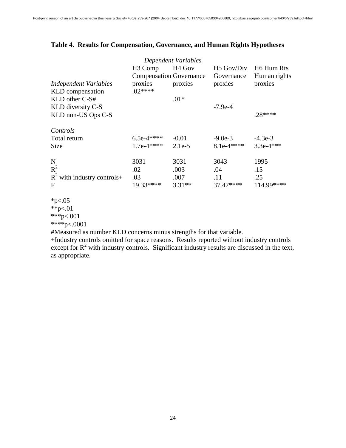# **Table 4. Results for Compensation, Governance, and Human Rights Hypotheses**

| <b>Independent Variables</b><br>KLD compensation              | H <sub>3</sub> Comp<br><b>Compensation Governance</b><br>proxies<br>$.02***$ | Dependent Variables<br>H <sub>4</sub> Gov<br>proxies | H <sub>5</sub> Gov/Div<br>Governance<br>proxies | H <sub>6</sub> Hum Rts<br>Human rights<br>proxies |
|---------------------------------------------------------------|------------------------------------------------------------------------------|------------------------------------------------------|-------------------------------------------------|---------------------------------------------------|
| $KLD$ other $C-S#$<br>KLD diversity C-S<br>KLD non-US Ops C-S |                                                                              | $.01*$                                               | $-7.9e-4$                                       | $.28***$                                          |
| Controls<br>Total return<br>Size                              | $6.5e-4***$<br>$1.7e-4***$                                                   | $-0.01$<br>$2.1e-5$                                  | $-9.0e-3$<br>$8.1e-4***$                        | $-4.3e-3$<br>$3.3e-4***$                          |
| N<br>$R^2$<br>$R^2$ with industry controls+<br>F              | 3031<br>.02<br>.03<br>19.33****                                              | 3031<br>.003<br>.007<br>$3.31**$                     | 3043<br>.04<br>.11<br>37.47****                 | 1995<br>.15<br>.25<br>114.99****                  |

 $*_{p<.05}$ 

 $*$  $+$ <sub> $p$ </sub> $< 01$ \*\*\*p<.001

\*\*\*\*p<.0001

#Measured as number KLD concerns minus strengths for that variable.

+Industry controls omitted for space reasons. Results reported without industry controls except for  $R^2$  with industry controls. Significant industry results are discussed in the text, as appropriate.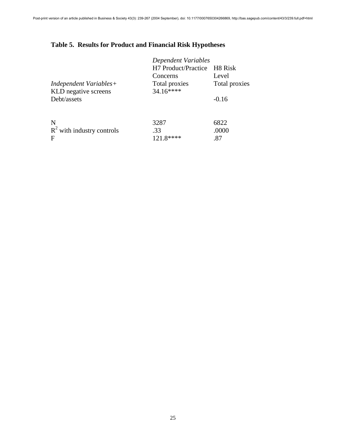# **Table 5. Results for Product and Financial Risk Hypotheses**

|                              | <b>Dependent Variables</b>  |               |  |  |
|------------------------------|-----------------------------|---------------|--|--|
|                              | H7 Product/Practice H8 Risk |               |  |  |
|                              | Concerns                    | Level         |  |  |
| Independent Variables+       | Total proxies               | Total proxies |  |  |
| KLD negative screens         | $34.16***$                  |               |  |  |
| Debt/assets                  |                             | $-0.16$       |  |  |
|                              |                             |               |  |  |
| N                            | 3287                        | 6822          |  |  |
|                              |                             |               |  |  |
| $R^2$ with industry controls | .33                         | .0000         |  |  |
| F                            | 121.8****                   | .87           |  |  |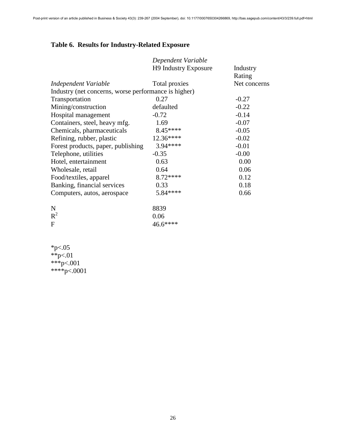# **Table 6. Results for Industry-Related Exposure**

|                                                      | Dependent Variable   |              |
|------------------------------------------------------|----------------------|--------------|
|                                                      | H9 Industry Exposure | Industry     |
|                                                      |                      | Rating       |
| Independent Variable                                 | Total proxies        | Net concerns |
| Industry (net concerns, worse performance is higher) |                      |              |
| Transportation                                       | 0.27                 | $-0.27$      |
| Mining/construction                                  | defaulted            | $-0.22$      |
| Hospital management                                  | $-0.72$              | $-0.14$      |
| Containers, steel, heavy mfg.                        | 1.69                 | $-0.07$      |
| Chemicals, pharmaceuticals                           | 8.45****             | $-0.05$      |
| Refining, rubber, plastic                            | 12.36****            | $-0.02$      |
| Forest products, paper, publishing                   | 3.94****             | $-0.01$      |
| Telephone, utilities                                 | $-0.35$              | $-0.00$      |
| Hotel, entertainment                                 | 0.63                 | 0.00         |
| Wholesale, retail                                    | 0.64                 | 0.06         |
| Food/textiles, apparel                               | 8.72****             | 0.12         |
| Banking, financial services                          | 0.33                 | 0.18         |
| Computers, autos, aerospace                          | 5.84 ****            | 0.66         |
|                                                      |                      |              |
| $\mathbf N$                                          | 8839                 |              |
| $R^2$                                                | 0.06                 |              |
| F                                                    | 46.6****             |              |

 $*p<.05$ \*\*p<.01 \*\*\*p<.001 \*\*\*\*p<.0001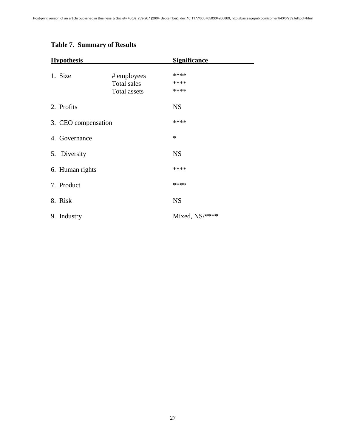| <b>Hypothesis</b>   |                     | <b>Significance</b> |  |
|---------------------|---------------------|---------------------|--|
|                     |                     |                     |  |
| 1. Size             | # employees         | ****<br>****        |  |
|                     | <b>Total sales</b>  | ****                |  |
|                     | <b>Total assets</b> |                     |  |
| 2. Profits          |                     | <b>NS</b>           |  |
| 3. CEO compensation |                     | ****                |  |
| 4. Governance       |                     | $\ast$              |  |
| 5. Diversity        |                     | <b>NS</b>           |  |
| 6. Human rights     |                     | ****                |  |
| 7. Product          |                     | ****                |  |
| 8. Risk             |                     | <b>NS</b>           |  |
| 9. Industry         |                     | Mixed, NS/****      |  |

# **Table 7. Summary of Results**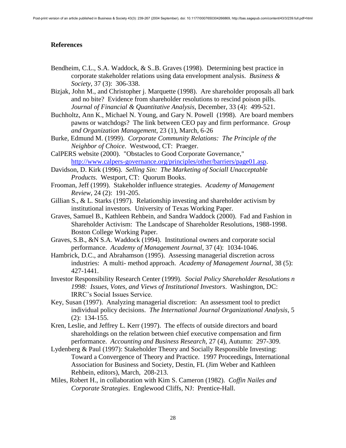## **References**

- Bendheim, C.L., S.A. Waddock, & S..B. Graves (1998). Determining best practice in corporate stakeholder relations using data envelopment analysis. *Business & Society*, 37 (3): 306-338.
- Bizjak, John M., and Christopher j. Marquette (1998). Are shareholder proposals all bark and no bite? Evidence from shareholder resolutions to rescind poison pills. *Journal of Financial & Quantitative Analysis*, December, 33 (4): 499-521.
- Buchholtz, Ann K., Michael N. Young, and Gary N. Powell (1998). Are board members pawns or watchdogs? The link between CEO pay and firm performance. *Group and Organization Management*, 23 (1), March, 6-26
- Burke, Edmund M. (1999). *Corporate Community Relations: The Principle of the Neighbor of Choice*. Westwood, CT: Praeger.
- CalPERS website (2000). "Obstacles to Good Corporate Governance," [http://www.calpers-governance.org/principles/other/barriers/page01.asp.](http://www.calpers-governance.org/principles/other/barriers/page01.asp)
- Davidson, D. Kirk (1996). *Selling Sin: The Marketing of Sociall Unacceptable Products*. Westport, CT: Quorum Books.
- Frooman, Jeff (1999). Stakeholder influence strategies. *Academy of Management Review*, 24 (2): 191-205.
- Gillian S., & L. Starks (1997). Relationship investing and shareholder activism by institutional investors. University of Texas Working Paper.
- Graves, Samuel B., Kathleen Rehbein, and Sandra Waddock (2000). Fad and Fashion in Shareholder Activism: The Landscape of Shareholder Resolutions, 1988-1998. Boston College Working Paper.
- Graves, S.B., &N S.A. Waddock (1994). Institutional owners and corporate social performance. *Academy of Management Journal*, 37 (4): 1034-1046.
- Hambrick, D.C., and Abrahamson (1995). Assessing managerial discretion across industries: A multi- method approach. *Academy of Management Journal*, 38 (5): 427-1441.
- Investor Responsibility Research Center (1999). *Social Policy Shareholder Resolutions n 1998: Issues, Votes, and Views of Institutional Investors*. Washington, DC: IRRC's Social Issues Service.
- Key, Susan (1997). Analyzing managerial discretion: An assessment tool to predict individual policy decisions. *The International Journal Organizational Analysis*, 5 (2): 134-155.
- Kren, Leslie, and Jeffrey L. Kerr (1997). The effects of outside directors and board shareholdings on the relation between chief executive compensation and firm performance. *Accounting and Business Research*, 27 (4), Autumn: 297-309.
- Lydenberg & Paul (1997): Stakeholder Theory and Socially Responsible Investing: Toward a Convergence of Theory and Practice. 1997 Proceedings, International Association for Business and Society, Destin, FL (Jim Weber and Kathleen Rehbein, editors), March, 208-213.
- Miles, Robert H., in collaboration with Kim S. Cameron (1982). *Coffin Nailes and Corporate Strategies*. Englewood Cliffs, NJ: Prentice-Hall.